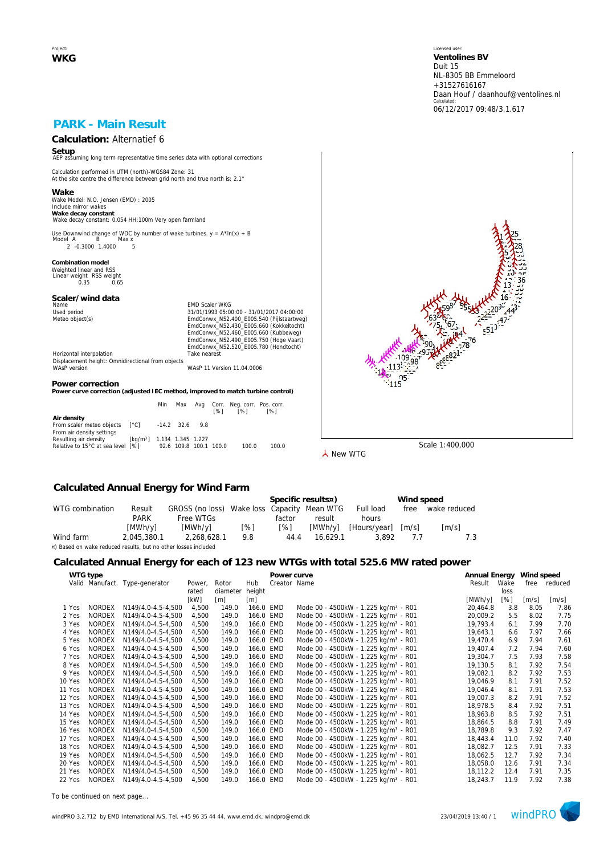Project: **WKG** Licensed user: **Ventolines BV**  Duit 15 NL-8305 BB Emmeloord +31527616167 Daan Houf / daanhouf@ventolines.nl Calculated: 06/12/2017 09:48/3.1.617

# **PARK - Main Result**

# **Calculation:** Alternatief 6

**Setup** AEP assuming long term representative time series data with optional corrections

Calculation performed in UTM (north)-WGS84 Zone: 31 At the site centre the difference between grid north and true north is: 2.1°

**Wake** Wake Model: N.O. Jensen (EMD) : 2005 Include mirror wakes **Wake decay constant** Wake decay constant: 0.054 HH:100m Very open farmland

Use Downwind change of WDC by number of wake turbines.  $y = A^* \ln(x) + B$ <br>Model A B Max x нег д. — Б. — тиах х.<br>2. -0.3000. 1.4000. — 5.

**Combination model** Weighted linear and RSS Linear weight RSS weight 0.35 0.65

## **Scaler/wind data**

Name Content of Maria Content of Maria Content Content Content Content Content Content Content Content Content<br>
Maria Content Content Content Content Content Content Content Content Content Content Content Content Content<br>

Used period<br>
Meteo object(s)<br>
Meteo object(s)<br>
EmdConwx\_N52.400\_E005.540 (Pijlstaartweg)<br>
EmdConwx\_N52.400\_E005.660 (Kukbelweg)<br>
EmdConwx\_N52.460\_E005.660 (Kukbelweg)<br>
EmdConwx\_N52.490\_E005.750 (Hoge Vaart) EmdConwx\_N52.520\_E005.780 (Hondtocht) Horizontal interpolation Take nearest

Displacement height: Omnidirectional from objects WAsP version WAsP 11 Version 11.04.0006

#### **Power correction**

**Power curve correction (adjusted IEC method, improved to match turbine control)**

|                                   |                                        | Min | Max                    | <b>1%1</b> | Avg Corr. Neg.corr. Pos.corr.<br>[%] | <b>1%1</b> |
|-----------------------------------|----------------------------------------|-----|------------------------|------------|--------------------------------------|------------|
| Air density                       |                                        |     |                        |            |                                      |            |
| From scaler meteo objects [°C]    |                                        |     | $-14.2$ 32.6 9.8       |            |                                      |            |
| From air density settings         |                                        |     |                        |            |                                      |            |
| Resulting air density             | [kg/m <sup>3</sup> ] 1.134 1.345 1.227 |     |                        |            |                                      |            |
| Relative to 15°C at sea level [%] |                                        |     | 92.6 109.8 100.1 100.0 |            | 100.0                                | 100.0      |



**人** New WTG

### **Calculated Annual Energy for Wind Farm**

|                                                                |             |                                             |     |        | Specific results¤) |              | Wind speed          |                     |
|----------------------------------------------------------------|-------------|---------------------------------------------|-----|--------|--------------------|--------------|---------------------|---------------------|
| WTG combination                                                | Result      | GROSS (no loss) Wake loss Capacity Mean WTG |     |        |                    | Full load    | free                | wake reduced        |
|                                                                | <b>PARK</b> | Free WTGs                                   |     | factor | result             | hours        |                     |                     |
|                                                                | [MWh/y]     | [MWh/v]                                     | [%] | [%]    | [MWh/v]            | [Hours/vear] | $\lceil m/s \rceil$ | $\lceil m/s \rceil$ |
| Wind farm                                                      | 2.045.380.1 | 2.268.628.1                                 | 9.8 | 44.4   | 16.629.1           | 3.892        | 77                  |                     |
| ¤) Based on wake reduced results, but no other losses included |             |                                             |     |        |                    |              |                     |                     |

#### **Calculated Annual Energy for each of 123 new WTGs with total 525.6 MW rated power**

|        |               | ີ                              |        |          |           |              |                                                  |                          |      |       |              |
|--------|---------------|--------------------------------|--------|----------|-----------|--------------|--------------------------------------------------|--------------------------|------|-------|--------------|
|        | WTG type      |                                |        |          |           | Power curve  |                                                  | Annual Energy Wind speed |      |       |              |
|        |               | Valid Manufact. Type-generator | Power, | Rotor    | Hub       | Creator Name |                                                  | Result                   | Wake |       | free reduced |
|        |               |                                | rated  | diameter | height    |              |                                                  |                          | loss |       |              |
|        |               |                                | [kW]   | [m]      | [m]       |              |                                                  | [MWh/y]                  | [%]  | [m/s] | [m/s]        |
| 1 Yes  | <b>NORDEX</b> | N149/4.0-4.5-4.500             | 4,500  | 149.0    | 166.0 EMD |              | Mode 00 - 4500kW - 1.225 kg/m <sup>3</sup> - R01 | 20,464.8                 | 3.8  | 8.05  | 7.86         |
| 2 Yes  | <b>NORDEX</b> | N149/4.0-4.5-4,500             | 4,500  | 149.0    | 166.0 EMD |              | Mode 00 - 4500kW - 1.225 kg/m <sup>3</sup> - R01 | 20,009.2                 | 5.5  | 8.02  | 7.75         |
| 3 Yes  | <b>NORDEX</b> | N149/4.0-4.5-4,500             | 4,500  | 149.0    | 166.0 EMD |              | Mode 00 - 4500kW - 1.225 kg/m <sup>3</sup> - R01 | 19,793.4                 | 6.1  | 7.99  | 7.70         |
| 4 Yes  | <b>NORDEX</b> | N149/4.0-4.5-4,500             | 4,500  | 149.0    | 166.0 EMD |              | Mode 00 - 4500kW - 1.225 kg/m <sup>3</sup> - R01 | 19,643.1                 | 6.6  | 7.97  | 7.66         |
| 5 Yes  | <b>NORDEX</b> | N149/4.0-4.5-4.500             | 4,500  | 149.0    | 166.0 EMD |              | Mode 00 - 4500kW - 1.225 kg/m <sup>3</sup> - R01 | 19,470.4                 | 6.9  | 7.94  | 7.61         |
| 6 Yes  | <b>NORDEX</b> | N149/4.0-4.5-4.500             | 4,500  | 149.0    | 166.0 EMD |              | Mode 00 - 4500kW - 1.225 kg/m <sup>3</sup> - R01 | 19,407.4                 | 7.2  | 7.94  | 7.60         |
| 7 Yes  | <b>NORDEX</b> | N149/4.0-4.5-4.500             | 4,500  | 149.0    | 166.0 EMD |              | Mode 00 - 4500kW - 1.225 kg/m <sup>3</sup> - R01 | 19.304.7                 | 7.5  | 7.93  | 7.58         |
| 8 Yes  | <b>NORDEX</b> | N149/4.0-4.5-4,500             | 4,500  | 149.0    | 166.0 EMD |              | Mode 00 - 4500kW - 1.225 kg/m <sup>3</sup> - R01 | 19,130.5                 | 8.1  | 7.92  | 7.54         |
| 9 Yes  | <b>NORDEX</b> | N149/4.0-4.5-4.500             | 4,500  | 149.0    | 166.0 EMD |              | Mode 00 - 4500kW - 1.225 kg/m <sup>3</sup> - R01 | 19,082.1                 | 8.2  | 7.92  | 7.53         |
| 10 Yes | <b>NORDEX</b> | N149/4.0-4.5-4,500             | 4,500  | 149.0    | 166.0 EMD |              | Mode 00 - 4500kW - 1.225 kg/m <sup>3</sup> - R01 | 19,046.9                 | 8.1  | 7.91  | 7.52         |
| 11 Yes | <b>NORDEX</b> | N149/4.0-4.5-4.500             | 4,500  | 149.0    | 166.0 EMD |              | Mode 00 - 4500kW - 1.225 kg/m <sup>3</sup> - R01 | 19,046.4                 | 8.1  | 7.91  | 7.53         |
| 12 Yes | <b>NORDEX</b> | N149/4.0-4.5-4.500             | 4,500  | 149.0    | 166.0 EMD |              | Mode 00 - 4500kW - 1.225 kg/m <sup>3</sup> - R01 | 19,007.3                 | 8.2  | 7.91  | 7.52         |
| 13 Yes | <b>NORDEX</b> | N149/4.0-4.5-4.500             | 4,500  | 149.0    | 166.0 EMD |              | Mode 00 - 4500kW - 1.225 kg/m <sup>3</sup> - R01 | 18,978.5                 | 8.4  | 7.92  | 7.51         |
| 14 Yes | <b>NORDEX</b> | N149/4.0-4.5-4.500             | 4,500  | 149.0    | 166.0 EMD |              | Mode 00 - 4500kW - 1.225 kg/m <sup>3</sup> - R01 | 18,963.8                 | 8.5  | 7.92  | 7.51         |
| 15 Yes | <b>NORDEX</b> | N149/4.0-4.5-4,500             | 4,500  | 149.0    | 166.0 EMD |              | Mode 00 - 4500kW - 1.225 kg/m <sup>3</sup> - R01 | 18,864.5                 | 8.8  | 7.91  | 7.49         |
| 16 Yes | <b>NORDEX</b> | N149/4.0-4.5-4.500             | 4,500  | 149.0    | 166.0 EMD |              | Mode 00 - 4500kW - 1.225 kg/m <sup>3</sup> - R01 | 18,789.8                 | 9.3  | 7.92  | 7.47         |
| 17 Yes | <b>NORDEX</b> | N149/4.0-4.5-4,500             | 4,500  | 149.0    | 166.0 EMD |              | Mode 00 - 4500kW - 1.225 kg/m <sup>3</sup> - R01 | 18,443.4                 | 11.0 | 7.92  | 7.40         |
| 18 Yes | <b>NORDEX</b> | N149/4.0-4.5-4,500             | 4,500  | 149.0    | 166.0 EMD |              | Mode 00 - 4500kW - 1.225 kg/m <sup>3</sup> - R01 | 18,082.7                 | 12.5 | 7.91  | 7.33         |
| 19 Yes | <b>NORDEX</b> | N149/4.0-4.5-4.500             | 4,500  | 149.0    | 166.0 EMD |              | Mode 00 - 4500kW - 1.225 kg/m <sup>3</sup> - R01 | 18,062.5                 | 12.7 | 7.92  | 7.34         |
| 20 Yes | <b>NORDEX</b> | N149/4.0-4.5-4,500             | 4,500  | 149.0    | 166.0 EMD |              | Mode 00 - 4500kW - 1.225 kg/m <sup>3</sup> - R01 | 18,058.0                 | 12.6 | 7.91  | 7.34         |
| 21 Yes | <b>NORDEX</b> | N149/4.0-4.5-4.500             | 4,500  | 149.0    | 166.0 EMD |              | Mode 00 - 4500kW - 1.225 kg/m <sup>3</sup> - R01 | 18,112.2                 | 12.4 | 7.91  | 7.35         |
| 22 Yes | <b>NORDEX</b> | N149/4.0-4.5-4.500             | 4,500  | 149.0    | 166.0 EMD |              | Mode 00 - 4500kW - 1.225 kg/m <sup>3</sup> - R01 | 18,243.7                 | 11.9 | 7.92  | 7.38         |

*To be continued on next page...*

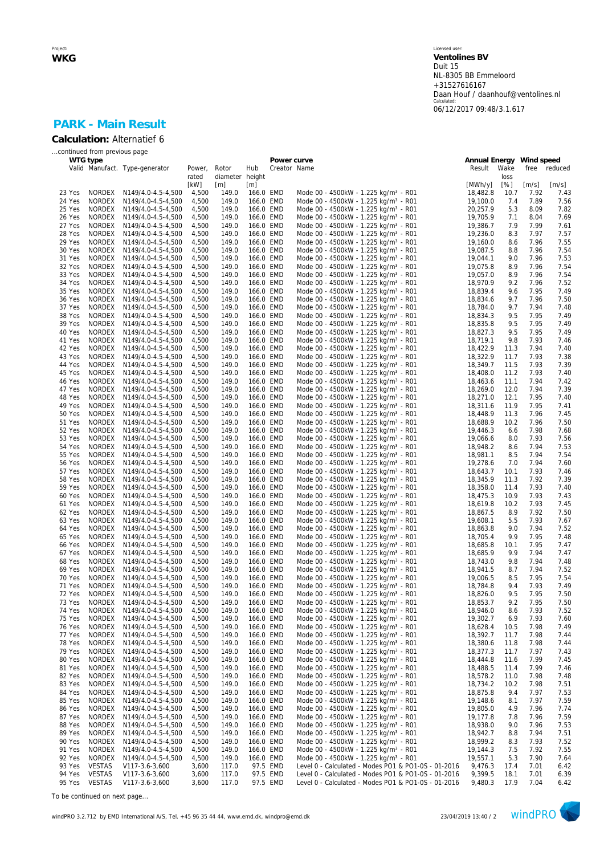## **PARK - Main Result Calculation:** Alternatief 6

|                  | continued from previous page   |                                          |                |                 |                        |             |                                                                                                         |                                    |              |              |              |
|------------------|--------------------------------|------------------------------------------|----------------|-----------------|------------------------|-------------|---------------------------------------------------------------------------------------------------------|------------------------------------|--------------|--------------|--------------|
|                  | WTG type                       | Valid Manufact. Type-generator           | Power,         | Rotor           | Hub                    | Power curve | Creator Name                                                                                            | Annual Energy Wind speed<br>Result | Wake         | free         | reduced      |
|                  |                                |                                          | rated          | diameter height |                        |             |                                                                                                         |                                    | loss         |              |              |
|                  |                                |                                          | [kW]           | [m]             | [m]                    |             |                                                                                                         | [MWh/y]                            | [%]          | [m/s]        | [m/s]        |
| 23 Yes           |                                | NORDEX N149/4.0-4.5-4,500                | 4,500          | 149.0           | 166.0 EMD              |             | Mode 00 - 4500kW - 1.225 kg/m <sup>3</sup> - R01                                                        | 18,482.8                           | 10.7         | 7.92         | 7.43         |
| 24 Yes<br>25 Yes | <b>NORDEX</b><br>NORDEX        | N149/4.0-4.5-4,500<br>N149/4.0-4.5-4,500 | 4,500<br>4,500 | 149.0<br>149.0  | 166.0 EMD<br>166.0 EMD |             | Mode 00 - 4500kW - 1.225 kg/m <sup>3</sup> - R01<br>Mode 00 - 4500kW - 1.225 kg/m <sup>3</sup> - R01    | 19,100.0<br>20,257.9               | 7.4<br>5.3   | 7.89<br>8.09 | 7.56<br>7.82 |
| 26 Yes           | NORDEX                         | N149/4.0-4.5-4,500                       | 4,500          | 149.0           | 166.0 EMD              |             | Mode 00 - 4500kW - 1.225 kg/m <sup>3</sup> - R01                                                        | 19,705.9                           | 7.1          | 8.04         | 7.69         |
| 27 Yes           | <b>NORDEX</b>                  | N149/4.0-4.5-4,500                       | 4,500          | 149.0           | 166.0 EMD              |             | Mode 00 - 4500kW - 1.225 kg/m <sup>3</sup> - R01                                                        | 19,386.7                           | 7.9          | 7.99         | 7.61         |
| 28 Yes           | NORDEX                         | N149/4.0-4.5-4,500                       | 4,500          | 149.0           | 166.0 EMD              |             | Mode 00 - 4500kW - 1.225 kg/m <sup>3</sup> - R01                                                        | 19,236.0                           | 8.3          | 7.97         | 7.57         |
| 29 Yes           | NORDEX                         | N149/4.0-4.5-4,500                       | 4,500          | 149.0           | 166.0 EMD              |             | Mode 00 - 4500kW - 1.225 kg/m <sup>3</sup> - R01                                                        | 19,160.0                           | 8.6          | 7.96         | 7.55         |
| 30 Yes<br>31 Yes | <b>NORDEX</b><br>NORDEX        | N149/4.0-4.5-4,500<br>N149/4.0-4.5-4,500 | 4,500<br>4,500 | 149.0<br>149.0  | 166.0 EMD<br>166.0 EMD |             | Mode 00 - 4500kW - 1.225 kg/m <sup>3</sup> - R01<br>Mode 00 - 4500kW - 1.225 kg/m <sup>3</sup> - R01    | 19,087.5<br>19,044.1               | 8.8<br>9.0   | 7.96<br>7.96 | 7.54<br>7.53 |
| 32 Yes           | <b>NORDEX</b>                  | N149/4.0-4.5-4,500                       | 4,500          | 149.0           | 166.0 EMD              |             | Mode 00 - 4500kW - 1.225 kg/m <sup>3</sup> - R01                                                        | 19,075.8                           | 8.9          | 7.96         | 7.54         |
| 33 Yes           | NORDEX                         | N149/4.0-4.5-4,500                       | 4,500          | 149.0           | 166.0 EMD              |             | Mode 00 - 4500kW - 1.225 kg/m <sup>3</sup> - R01                                                        | 19,057.0                           | 8.9          | 7.96         | 7.54         |
| 34 Yes           | NORDEX                         | N149/4.0-4.5-4,500                       | 4,500          | 149.0           | 166.0 EMD              |             | Mode 00 - 4500kW - 1.225 kg/m <sup>3</sup> - R01                                                        | 18,970.9                           | 9.2          | 7.96         | 7.52         |
| 35 Yes           | NORDEX                         | N149/4.0-4.5-4,500                       | 4,500          | 149.0           | 166.0 EMD              |             | Mode 00 - 4500kW - 1.225 kg/m <sup>3</sup> - R01                                                        | 18,839.4                           | 9.6          | 7.95         | 7.49         |
| 36 Yes<br>37 Yes | NORDEX<br>NORDEX               | N149/4.0-4.5-4,500<br>N149/4.0-4.5-4,500 | 4,500<br>4,500 | 149.0<br>149.0  | 166.0 EMD<br>166.0 EMD |             | Mode 00 - 4500kW - 1.225 kg/m <sup>3</sup> - R01<br>Mode 00 - 4500kW - 1.225 kg/m <sup>3</sup> - R01    | 18,834.6<br>18,784.0               | 9.7<br>9.7   | 7.96<br>7.94 | 7.50<br>7.48 |
| 38 Yes           | NORDEX                         | N149/4.0-4.5-4,500                       | 4,500          | 149.0           | 166.0 EMD              |             | Mode 00 - 4500kW - 1.225 kg/m <sup>3</sup> - R01                                                        | 18,834.3                           | 9.5          | 7.95         | 7.49         |
| 39 Yes           | NORDEX                         | N149/4.0-4.5-4,500                       | 4,500          | 149.0           | 166.0 EMD              |             | Mode 00 - 4500kW - 1.225 kg/m <sup>3</sup> - R01                                                        | 18,835.8                           | 9.5          | 7.95         | 7.49         |
| 40 Yes           | NORDEX                         | N149/4.0-4.5-4,500                       | 4,500          | 149.0           | 166.0 EMD              |             | Mode 00 - 4500kW - 1.225 kg/m <sup>3</sup> - R01                                                        | 18,827.3                           | 9.5          | 7.95         | 7.49         |
| 41 Yes           | NORDEX                         | N149/4.0-4.5-4,500                       | 4,500          | 149.0           | 166.0 EMD              |             | Mode 00 - 4500kW - 1.225 kg/m <sup>3</sup> - R01                                                        | 18,719.1                           | 9.8          | 7.93         | 7.46         |
| 42 Yes           | NORDEX                         | N149/4.0-4.5-4,500                       | 4,500          | 149.0           | 166.0 EMD              |             | Mode 00 - 4500kW - 1.225 kg/m <sup>3</sup> - R01                                                        | 18,422.9                           | 11.3         | 7.94<br>7.93 | 7.40         |
| 43 Yes<br>44 Yes | NORDEX<br><b>NORDEX</b>        | N149/4.0-4.5-4,500<br>N149/4.0-4.5-4,500 | 4,500<br>4,500 | 149.0<br>149.0  | 166.0 EMD<br>166.0 EMD |             | Mode 00 - 4500kW - 1.225 kg/m <sup>3</sup> - R01<br>Mode 00 - 4500kW - 1.225 kg/m <sup>3</sup> - R01    | 18,322.9<br>18,349.7               | 11.7<br>11.5 | 7.93         | 7.38<br>7.39 |
| 45 Yes           | NORDEX                         | N149/4.0-4.5-4,500                       | 4,500          | 149.0           | 166.0 EMD              |             | Mode 00 - 4500kW - 1.225 kg/m <sup>3</sup> - R01                                                        | 18,408.0                           | 11.2         | 7.93         | 7.40         |
| 46 Yes           | NORDEX                         | N149/4.0-4.5-4,500                       | 4,500          | 149.0           | 166.0 EMD              |             | Mode 00 - 4500kW - 1.225 kg/m <sup>3</sup> - R01                                                        | 18,463.6                           | 11.1         | 7.94         | 7.42         |
| 47 Yes           | NORDEX                         | N149/4.0-4.5-4,500                       | 4,500          | 149.0           | 166.0 EMD              |             | Mode 00 - 4500kW - 1.225 kg/m <sup>3</sup> - R01                                                        | 18,269.0                           | 12.0         | 7.94         | 7.39         |
| 48 Yes           | NORDEX                         | N149/4.0-4.5-4,500                       | 4,500          | 149.0           | 166.0 EMD              |             | Mode 00 - 4500kW - 1.225 kg/m <sup>3</sup> - R01                                                        | 18,271.0                           | 12.1         | 7.95         | 7.40         |
| 49 Yes<br>50 Yes | NORDEX<br><b>NORDEX</b>        | N149/4.0-4.5-4,500<br>N149/4.0-4.5-4,500 | 4,500<br>4,500 | 149.0<br>149.0  | 166.0 EMD<br>166.0 EMD |             | Mode 00 - 4500kW - 1.225 kg/m <sup>3</sup> - R01<br>Mode 00 - 4500kW - 1.225 kg/m <sup>3</sup> - R01    | 18,311.6<br>18,448.9               | 11.9<br>11.3 | 7.95<br>7.96 | 7.41<br>7.45 |
| 51 Yes           | <b>NORDEX</b>                  | N149/4.0-4.5-4,500                       | 4,500          | 149.0           | 166.0 EMD              |             | Mode 00 - 4500kW - 1.225 kg/m <sup>3</sup> - R01                                                        | 18,688.9                           | 10.2         | 7.96         | 7.50         |
| 52 Yes           | NORDEX                         | N149/4.0-4.5-4,500                       | 4,500          | 149.0           | 166.0 EMD              |             | Mode 00 - 4500kW - 1.225 kg/m <sup>3</sup> - R01                                                        | 19,446.3                           | 6.6          | 7.98         | 7.68         |
| 53 Yes           | <b>NORDEX</b>                  | N149/4.0-4.5-4,500                       | 4,500          | 149.0           | 166.0 EMD              |             | Mode 00 - 4500kW - 1.225 kg/m <sup>3</sup> - R01                                                        | 19,066.6                           | 8.0          | 7.93         | 7.56         |
| 54 Yes           | NORDEX                         | N149/4.0-4.5-4,500                       | 4,500          | 149.0           | 166.0 EMD              |             | Mode 00 - 4500kW - 1.225 kg/m <sup>3</sup> - R01                                                        | 18,948.2                           | 8.6          | 7.94         | 7.53         |
| 55 Yes<br>56 Yes | NORDEX<br><b>NORDEX</b>        | N149/4.0-4.5-4,500<br>N149/4.0-4.5-4,500 | 4,500<br>4,500 | 149.0<br>149.0  | 166.0 EMD<br>166.0 EMD |             | Mode 00 - 4500kW - 1.225 kg/m <sup>3</sup> - R01<br>Mode 00 - 4500kW - 1.225 kg/m <sup>3</sup> - R01    | 18,981.1<br>19,278.6               | 8.5<br>7.0   | 7.94<br>7.94 | 7.54<br>7.60 |
| 57 Yes           | NORDEX                         | N149/4.0-4.5-4,500                       | 4,500          | 149.0           | 166.0 EMD              |             | Mode 00 - 4500kW - 1.225 kg/m <sup>3</sup> - R01                                                        | 18,643.7                           | 10.1         | 7.93         | 7.46         |
| 58 Yes           | NORDEX                         | N149/4.0-4.5-4,500                       | 4,500          | 149.0           | 166.0 EMD              |             | Mode 00 - 4500kW - 1.225 kg/m <sup>3</sup> - R01                                                        | 18,345.9                           | 11.3         | 7.92         | 7.39         |
| 59 Yes           | NORDEX                         | N149/4.0-4.5-4,500                       | 4,500          | 149.0           | 166.0 EMD              |             | Mode 00 - 4500kW - 1.225 kg/m <sup>3</sup> - R01                                                        | 18,358.0                           | 11.4         | 7.93         | 7.40         |
| 60 Yes           | NORDEX                         | N149/4.0-4.5-4,500                       | 4,500          | 149.0           | 166.0 EMD              |             | Mode 00 - 4500kW - 1.225 kg/m <sup>3</sup> - R01                                                        | 18,475.3                           | 10.9         | 7.93         | 7.43         |
| 61 Yes<br>62 Yes | NORDEX<br><b>NORDEX</b>        | N149/4.0-4.5-4,500                       | 4,500          | 149.0<br>149.0  | 166.0 EMD              |             | Mode 00 - 4500kW - 1.225 kg/m <sup>3</sup> - R01                                                        | 18,619.8<br>18,867.5               | 10.2<br>8.9  | 7.93<br>7.92 | 7.45<br>7.50 |
| 63 Yes           | NORDEX                         | N149/4.0-4.5-4,500<br>N149/4.0-4.5-4,500 | 4,500<br>4,500 | 149.0           | 166.0 EMD<br>166.0 EMD |             | Mode 00 - 4500kW - 1.225 kg/m <sup>3</sup> - R01<br>Mode 00 - 4500kW - 1.225 kg/m <sup>3</sup> - R01    | 19,608.1                           | 5.5          | 7.93         | 7.67         |
| 64 Yes           | NORDEX                         | N149/4.0-4.5-4,500                       | 4,500          | 149.0           | 166.0 EMD              |             | Mode 00 - 4500kW - 1.225 kg/m <sup>3</sup> - R01                                                        | 18,863.8                           | 9.0          | 7.94         | 7.52         |
| 65 Yes           | NORDEX                         | N149/4.0-4.5-4,500                       | 4,500          | 149.0           | 166.0 EMD              |             | Mode 00 - 4500kW - 1.225 kg/m <sup>3</sup> - R01                                                        | 18,705.4                           | 9.9          | 7.95         | 7.48         |
| 66 Yes           | NORDEX                         | N149/4.0-4.5-4,500                       | 4,500          | 149.0           | 166.0 EMD              |             | Mode 00 - 4500kW - 1.225 kg/m <sup>3</sup> - R01                                                        | 18,685.8                           | 10.1         | 7.95         | 7.47         |
| 67 Yes<br>68 Yes | NORDEX<br>NORDEX               | N149/4.0-4.5-4,500                       | 4,500<br>4,500 | 149.0<br>149.0  | 166.0 EMD<br>166.0 EMD |             | Mode 00 - 4500kW - 1.225 kg/m <sup>3</sup> - R01                                                        | 18,685.9<br>18,743.0               | 9.9<br>9.8   | 7.94<br>7.94 | 7.47<br>7.48 |
| 69 Yes           | <b>NORDEX</b>                  | N149/4.0-4.5-4,500<br>N149/4.0-4.5-4,500 | 4,500          | 149.0           | 166.0 EMD              |             | Mode 00 - 4500kW - 1.225 kg/m <sup>3</sup> - R01<br>Mode 00 - 4500kW - 1.225 kg/m <sup>3</sup> - R01    | 18,941.5                           | 8.7          | 7.94         | 7.52         |
| 70 Yes           | NORDEX                         | N149/4.0-4.5-4,500                       | 4,500          | 149.0           | 166.0 EMD              |             | Mode 00 - 4500kW - 1.225 kg/m <sup>3</sup> - R01                                                        | 19,006.5                           | 8.5          | 7.95         | 7.54         |
| 71 Yes           | NORDEX                         | N149/4.0-4.5-4,500                       | 4,500          | 149.0           | 166.0 EMD              |             | Mode 00 - 4500kW - 1.225 kg/m <sup>3</sup> - R01                                                        | 18,784.8                           | 9.4          | 7.93         | 7.49         |
| 72 Yes           | NORDEX                         | N149/4.0-4.5-4,500                       | 4,500          | 149.0           | 166.0 EMD              |             | Mode 00 - 4500kW - 1.225 kg/m <sup>3</sup> - R01                                                        | 18,826.0                           | 9.5          | 7.95         | 7.50         |
| 73 Yes<br>74 Yes | <b>NORDEX</b><br>NORDEX        | N149/4.0-4.5-4,500<br>N149/4.0-4.5-4,500 | 4,500<br>4,500 | 149.0<br>149.0  | 166.0 EMD<br>166.0 EMD |             | Mode 00 - 4500kW - 1.225 kg/m <sup>3</sup> - R01<br>Mode 00 - 4500kW - 1.225 kg/m <sup>3</sup> - R01    | 18,853.7<br>18,946.0               | 9.2<br>8.6   | 7.95<br>7.93 | 7.50<br>7.52 |
| 75 Yes           | NORDEX                         | N149/4.0-4.5-4,500                       | 4,500          | 149.0           | 166.0 EMD              |             | Mode 00 - 4500kW - 1.225 kg/m <sup>3</sup> - R01                                                        | 19,302.7                           | 6.9          | 7.93         | 7.60         |
| 76 Yes           | NORDEX                         | N149/4.0-4.5-4,500                       | 4,500          | 149.0           | 166.0 EMD              |             | Mode 00 - 4500kW - 1.225 kg/m <sup>3</sup> - R01                                                        | 18,628.4                           | 10.5         | 7.98         | 7.49         |
| 77 Yes           | <b>NORDEX</b>                  | N149/4.0-4.5-4,500                       | 4,500          | 149.0           | 166.0 EMD              |             | Mode 00 - 4500kW - 1.225 kg/m <sup>3</sup> - R01                                                        | 18,392.7                           | 11.7         | 7.98         | 7.44         |
| 78 Yes           | NORDEX                         | N149/4.0-4.5-4,500                       | 4,500          | 149.0           | 166.0 EMD              |             | Mode 00 - 4500kW - 1.225 kg/m <sup>3</sup> - R01                                                        | 18,380.6                           | 11.8         | 7.98         | 7.44         |
| 79 Yes<br>80 Yes | <b>NORDEX</b><br>NORDEX        | N149/4.0-4.5-4,500                       | 4,500<br>4,500 | 149.0<br>149.0  | 166.0 EMD<br>166.0 EMD |             | Mode 00 - 4500kW - 1.225 kg/m <sup>3</sup> - R01<br>Mode 00 - 4500kW - 1.225 kg/m <sup>3</sup> - R01    | 18,377.3<br>18,444.8               | 11.7<br>11.6 | 7.97<br>7.99 | 7.43<br>7.45 |
| 81 Yes           | NORDEX                         | N149/4.0-4.5-4,500<br>N149/4.0-4.5-4,500 | 4,500          | 149.0           | 166.0 EMD              |             | Mode 00 - 4500kW - 1.225 kg/m <sup>3</sup> - R01                                                        | 18,488.5                           | 11.4         | 7.99         | 7.46         |
| 82 Yes           | NORDEX                         | N149/4.0-4.5-4,500                       | 4,500          | 149.0           | 166.0 EMD              |             | Mode 00 - 4500kW - 1.225 kg/m <sup>3</sup> - R01                                                        | 18,578.2                           | 11.0         | 7.98         | 7.48         |
| 83 Yes           | NORDEX                         | N149/4.0-4.5-4,500                       | 4,500          | 149.0           | 166.0 EMD              |             | Mode 00 - 4500kW - 1.225 kg/m <sup>3</sup> - R01                                                        | 18,734.2                           | 10.2         | 7.98         | 7.51         |
| 84 Yes           | NORDEX                         | N149/4.0-4.5-4,500                       | 4,500          | 149.0           | 166.0 EMD              |             | Mode 00 - 4500kW - 1.225 kg/m <sup>3</sup> - R01                                                        | 18,875.8                           | 9.4          | 7.97         | 7.53         |
| 85 Yes           | NORDEX                         | N149/4.0-4.5-4,500                       | 4,500          | 149.0           | 166.0 EMD              |             | Mode 00 - 4500kW - 1.225 kg/m <sup>3</sup> - R01                                                        | 19,148.6                           | 8.1          | 7.97         | 7.59         |
| 86 Yes<br>87 Yes | NORDEX<br>NORDEX               | N149/4.0-4.5-4,500<br>N149/4.0-4.5-4,500 | 4,500<br>4,500 | 149.0<br>149.0  | 166.0 EMD<br>166.0 EMD |             | Mode 00 - 4500kW - 1.225 kg/m <sup>3</sup> - R01<br>Mode 00 - 4500kW - 1.225 kg/m <sup>3</sup> - R01    | 19,805.0<br>19,177.8               | 4.9<br>7.8   | 7.96<br>7.96 | 7.74<br>7.59 |
| 88 Yes           | NORDEX                         | N149/4.0-4.5-4,500                       | 4,500          | 149.0           | 166.0 EMD              |             | Mode 00 - 4500kW - 1.225 kg/m <sup>3</sup> - R01                                                        | 18,938.0                           | 9.0          | 7.96         | 7.53         |
| 89 Yes           | NORDEX                         | N149/4.0-4.5-4,500                       | 4,500          | 149.0           | 166.0 EMD              |             | Mode 00 - 4500kW - 1.225 kg/m <sup>3</sup> - R01                                                        | 18,942.7                           | 8.8          | 7.94         | 7.51         |
| 90 Yes           | NORDEX                         | N149/4.0-4.5-4,500                       | 4,500          | 149.0           | 166.0 EMD              |             | Mode 00 - 4500kW - 1.225 kg/m <sup>3</sup> - R01                                                        | 18,999.2                           | 8.3          | 7.93         | 7.52         |
| 91 Yes           | NORDEX                         | N149/4.0-4.5-4,500                       | 4,500          | 149.0           | 166.0 EMD              |             | Mode 00 - 4500kW - 1.225 kg/m <sup>3</sup> - R01                                                        | 19,144.3                           | 7.5          | 7.92         | 7.55         |
| 92 Yes<br>93 Yes | <b>NORDEX</b><br><b>VESTAS</b> | N149/4.0-4.5-4,500<br>V117-3.6-3,600     | 4,500<br>3,600 | 149.0<br>117.0  | 166.0 EMD              | 97.5 EMD    | Mode 00 - 4500kW - 1.225 kg/m <sup>3</sup> - R01<br>Level 0 - Calculated - Modes PO1 & PO1-0S - 01-2016 | 19,557.1<br>9,476.3                | 5.3<br>17.4  | 7.90<br>7.01 | 7.64<br>6.42 |
| 94 Yes           | <b>VESTAS</b>                  | V117-3.6-3,600                           | 3,600          | 117.0           |                        | 97.5 EMD    | Level 0 - Calculated - Modes PO1 & PO1-0S - 01-2016                                                     | 9,399.5                            | 18.1         | 7.01         | 6.39         |
| 95 Yes           | VESTAS                         | V117-3.6-3,600                           | 3,600          | 117.0           |                        | 97.5 EMD    | Level 0 - Calculated - Modes PO1 & PO1-0S - 01-2016                                                     | 9,480.3                            | 17.9         | 7.04         | 6.42         |

*To be continued on next page...*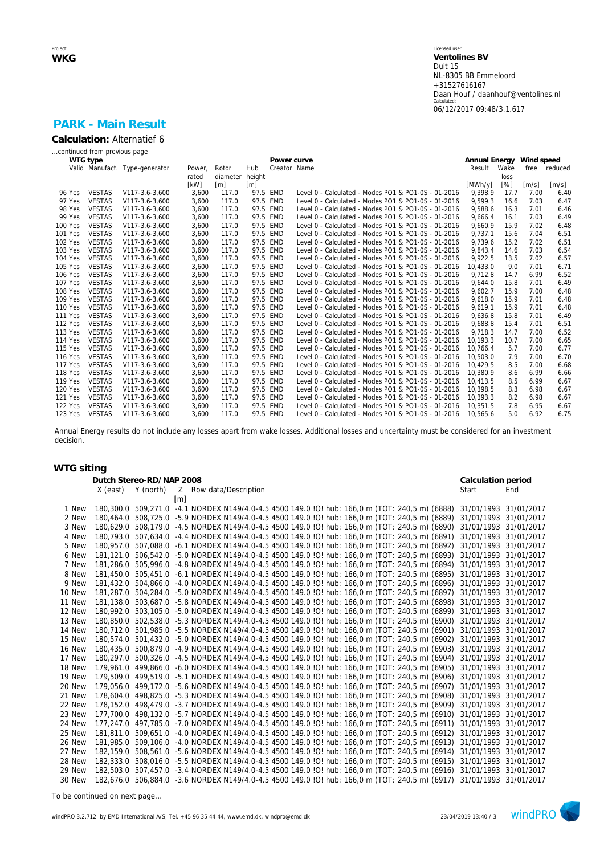# **PARK - Main Result**

| Calculation: Alternatief 6   |  |
|------------------------------|--|
| continued from previous page |  |

|                | WTG type      |                                |        |                   |                   | Power curve  |                                                     | Annual Energy Wind speed |                    |                     |              |
|----------------|---------------|--------------------------------|--------|-------------------|-------------------|--------------|-----------------------------------------------------|--------------------------|--------------------|---------------------|--------------|
|                |               | Valid Manufact. Type-generator | Power, | Rotor             | Hub               | Creator Name |                                                     | Result                   | Wake               |                     | free reduced |
|                |               |                                | rated  | diameter          | height            |              |                                                     |                          | loss               |                     |              |
|                |               |                                | [kW]   | $\lceil m \rceil$ | $\lceil m \rceil$ |              |                                                     | [MWh/y]                  | $\lceil \% \rceil$ | $\lceil m/s \rceil$ | [m/s]        |
| 96 Yes         | <b>VESTAS</b> | V117-3.6-3,600                 | 3,600  | 117.0             |                   | 97.5 EMD     | Level 0 - Calculated - Modes PO1 & PO1-0S - 01-2016 | 9,398.9                  | 17.7               | 7.00                | 6.40         |
| 97 Yes         | <b>VESTAS</b> | V117-3.6-3.600                 | 3.600  | 117.0             |                   | 97.5 EMD     | Level 0 - Calculated - Modes PO1 & PO1-0S - 01-2016 | 9.599.3                  | 16.6               | 7.03                | 6.47         |
| 98 Yes         | <b>VESTAS</b> | V117-3.6-3,600                 | 3,600  | 117.0             |                   | 97.5 EMD     | Level 0 - Calculated - Modes PO1 & PO1-0S - 01-2016 | 9,588.6                  | 16.3               | 7.01                | 6.46         |
| 99 Yes         | <b>VESTAS</b> | V117-3.6-3.600                 | 3,600  | 117.0             |                   | 97.5 EMD     | Level 0 - Calculated - Modes PO1 & PO1-0S - 01-2016 | 9.666.4                  | 16.1               | 7.03                | 6.49         |
| <b>100 Yes</b> | <b>VESTAS</b> | V117-3.6-3,600                 | 3,600  | 117.0             |                   | 97.5 EMD     | Level 0 - Calculated - Modes PO1 & PO1-0S - 01-2016 | 9,660.9                  | 15.9               | 7.02                | 6.48         |
| 101 Yes        | <b>VESTAS</b> | V117-3.6-3.600                 | 3,600  | 117.0             |                   | 97.5 EMD     | Level 0 - Calculated - Modes PO1 & PO1-0S - 01-2016 | 9.737.1                  | 15.6               | 7.04                | 6.51         |
| 102 Yes        | <b>VESTAS</b> | V117-3.6-3,600                 | 3,600  | 117.0             |                   | 97.5 EMD     | Level 0 - Calculated - Modes PO1 & PO1-0S - 01-2016 | 9,739.6                  | 15.2               | 7.02                | 6.51         |
| 103 Yes        | <b>VESTAS</b> | V117-3.6-3.600                 | 3.600  | 117.0             |                   | 97.5 EMD     | Level 0 - Calculated - Modes PO1 & PO1-0S - 01-2016 | 9.843.4                  | 14.6               | 7.03                | 6.54         |
| 104 Yes        | <b>VESTAS</b> | V117-3.6-3,600                 | 3,600  | 117.0             |                   | 97.5 EMD     | Level 0 - Calculated - Modes PO1 & PO1-0S - 01-2016 | 9,922.5                  | 13.5               | 7.02                | 6.57         |
| 105 Yes        | <b>VESTAS</b> | V117-3.6-3.600                 | 3,600  | 117.0             |                   | 97.5 EMD     | Level 0 - Calculated - Modes PO1 & PO1-0S - 01-2016 | 10.433.0                 | 9.0                | 7.01                | 6.71         |
| 106 Yes        | <b>VESTAS</b> | V117-3.6-3,600                 | 3,600  | 117.0             |                   | 97.5 EMD     | Level 0 - Calculated - Modes PO1 & PO1-0S - 01-2016 | 9,712.8                  | 14.7               | 6.99                | 6.52         |
| <b>107 Yes</b> | <b>VESTAS</b> | V117-3.6-3.600                 | 3,600  | 117.0             |                   | 97.5 EMD     | Level 0 - Calculated - Modes PO1 & PO1-0S - 01-2016 | 9.644.0                  | 15.8               | 7.01                | 6.49         |
| 108 Yes        | <b>VESTAS</b> | V117-3.6-3,600                 | 3,600  | 117.0             |                   | 97.5 EMD     | Level 0 - Calculated - Modes PO1 & PO1-0S - 01-2016 | 9,602.7                  | 15.9               | 7.00                | 6.48         |
| 109 Yes        | <b>VESTAS</b> | V117-3.6-3.600                 | 3.600  | 117.0             |                   | 97.5 EMD     | Level 0 - Calculated - Modes PO1 & PO1-0S - 01-2016 | 9.618.0                  | 15.9               | 7.01                | 6.48         |
| 110 Yes        | <b>VESTAS</b> | V117-3.6-3,600                 | 3,600  | 117.0             |                   | 97.5 EMD     | Level 0 - Calculated - Modes PO1 & PO1-0S - 01-2016 | 9.619.1                  | 15.9               | 7.01                | 6.48         |
| <b>111 Yes</b> | <b>VESTAS</b> | V117-3.6-3.600                 | 3,600  | 117.0             |                   | 97.5 EMD     | Level 0 - Calculated - Modes PO1 & PO1-0S - 01-2016 | 9.636.8                  | 15.8               | 7.01                | 6.49         |
| 112 Yes        | <b>VESTAS</b> | V117-3.6-3,600                 | 3,600  | 117.0             |                   | 97.5 EMD     | Level 0 - Calculated - Modes PO1 & PO1-0S - 01-2016 | 9,688.8                  | 15.4               | 7.01                | 6.51         |
| 113 Yes        | <b>VESTAS</b> | V117-3.6-3.600                 | 3,600  | 117.0             |                   | 97.5 EMD     | Level 0 - Calculated - Modes PO1 & PO1-0S - 01-2016 | 9.718.3                  | 14.7               | 7.00                | 6.52         |
| <b>114 Yes</b> | <b>VESTAS</b> | V117-3.6-3.600                 | 3,600  | 117.0             |                   | 97.5 EMD     | Level 0 - Calculated - Modes PO1 & PO1-0S - 01-2016 | 10.193.3                 | 10.7               | 7.00                | 6.65         |
| 115 Yes        | <b>VESTAS</b> | V117-3.6-3.600                 | 3,600  | 117.0             |                   | 97.5 EMD     | Level 0 - Calculated - Modes PO1 & PO1-0S - 01-2016 | 10.766.4                 | 5.7                | 7.00                | 6.77         |
| <b>116 Yes</b> | <b>VESTAS</b> | V117-3.6-3,600                 | 3,600  | 117.0             |                   | 97.5 EMD     | Level 0 - Calculated - Modes PO1 & PO1-0S - 01-2016 | 10.503.0                 | 7.9                | 7.00                | 6.70         |
| <b>117 Yes</b> | <b>VESTAS</b> | V117-3.6-3,600                 | 3,600  | 117.0             |                   | 97.5 EMD     | Level 0 - Calculated - Modes PO1 & PO1-0S - 01-2016 | 10.429.5                 | 8.5                | 7.00                | 6.68         |
| <b>118 Yes</b> | <b>VESTAS</b> | V117-3.6-3,600                 | 3,600  | 117.0             |                   | 97.5 EMD     | Level 0 - Calculated - Modes PO1 & PO1-0S - 01-2016 | 10.380.9                 | 8.6                | 6.99                | 6.66         |
| 119 Yes        | <b>VESTAS</b> | V117-3.6-3,600                 | 3,600  | 117.0             |                   | 97.5 EMD     | Level 0 - Calculated - Modes PO1 & PO1-0S - 01-2016 | 10.413.5                 | 8.5                | 6.99                | 6.67         |
| <b>120 Yes</b> | <b>VESTAS</b> | V117-3.6-3,600                 | 3,600  | 117.0             |                   | 97.5 EMD     | Level 0 - Calculated - Modes PO1 & PO1-0S - 01-2016 | 10.398.5                 | 8.3                | 6.98                | 6.67         |
| 121 Yes        | <b>VESTAS</b> | V117-3.6-3,600                 | 3,600  | 117.0             |                   | 97.5 EMD     | Level 0 - Calculated - Modes PO1 & PO1-0S - 01-2016 | 10.393.3                 | 8.2                | 6.98                | 6.67         |
| <b>122 Yes</b> | <b>VESTAS</b> | V117-3.6-3,600                 | 3,600  | 117.0             |                   | 97.5 EMD     | Level 0 - Calculated - Modes PO1 & PO1-0S - 01-2016 | 10.351.5                 | 7.8                | 6.95                | 6.67         |
| 123 Yes        | <b>VESTAS</b> | V117-3.6-3.600                 | 3.600  | 117.0             |                   | 97.5 EMD     | Level 0 - Calculated - Modes PO1 & PO1-0S - 01-2016 | 10.565.6                 | 5.0                | 6.92                | 6.75         |

Annual Energy results do not include any losses apart from wake losses. Additional losses and uncertainty must be considered for an investment decision.

## **WTG siting**

|        | Dutch Stereo-RD/NAP 2008 |                                                                                                 |                   |                        |  |  |  |  |  |  | Calculation period                                                                                                   |     |
|--------|--------------------------|-------------------------------------------------------------------------------------------------|-------------------|------------------------|--|--|--|--|--|--|----------------------------------------------------------------------------------------------------------------------|-----|
|        | X (east)                 | Y (north)                                                                                       |                   | Z Row data/Description |  |  |  |  |  |  | Start                                                                                                                | End |
|        |                          |                                                                                                 | $\lceil m \rceil$ |                        |  |  |  |  |  |  |                                                                                                                      |     |
| 1 New  |                          | 180,300.0 509,271.0 -4.1 NORDEX N149/4.0-4.5 4500 149.0 !O! hub: 166,0 m (TOT: 240,5 m) (6888)  |                   |                        |  |  |  |  |  |  | 31/01/1993 31/01/2017                                                                                                |     |
| 2 New  |                          | 180,464.0 508,725.0 -5.9 NORDEX N149/4.0-4.5 4500 149.0 !O! hub: 166,0 m (TOT: 240,5 m) (6889)  |                   |                        |  |  |  |  |  |  | 31/01/1993 31/01/2017                                                                                                |     |
| 3 New  |                          | 180,629.0 508,179.0 -4.5 NORDEX N149/4.0-4.5 4500 149.0 !O! hub: 166,0 m (TOT: 240,5 m) (6890)  |                   |                        |  |  |  |  |  |  | 31/01/1993 31/01/2017                                                                                                |     |
| 4 New  |                          | 180,793.0 507,634.0 -4.4 NORDEX N149/4.0-4.5 4500 149.0 !O! hub: 166,0 m (TOT: 240,5 m) (6891)  |                   |                        |  |  |  |  |  |  | 31/01/1993 31/01/2017                                                                                                |     |
| 5 New  |                          | 180.957.0 507.088.0 -6.1 NORDEX N149/4.0-4.5 4500 149.0 !Q! hub: 166.0 m (TOT: 240.5 m) (6892)  |                   |                        |  |  |  |  |  |  | 31/01/1993 31/01/2017                                                                                                |     |
| 6 New  |                          | 181,121.0 506,542.0 -5.0 NORDEX N149/4.0-4.5 4500 149.0 !O! hub: 166,0 m (TOT: 240,5 m) (6893)  |                   |                        |  |  |  |  |  |  | 31/01/1993 31/01/2017                                                                                                |     |
| 7 New  |                          | 181.286.0 505.996.0 -4.8 NORDEX N149/4.0-4.5 4500 149.0 ! O! hub: 166.0 m (TOT: 240.5 m) (6894) |                   |                        |  |  |  |  |  |  | 31/01/1993 31/01/2017                                                                                                |     |
| 8 New  |                          | 181,450.0 505,451.0 -6.1 NORDEX N149/4.0-4.5 4500 149.0 !O! hub: 166,0 m (TOT: 240,5 m) (6895)  |                   |                        |  |  |  |  |  |  | 31/01/1993 31/01/2017                                                                                                |     |
| 9 New  |                          | 181,432.0 504,866.0 -4.0 NORDEX N149/4.0-4.5 4500 149.0 !O! hub: 166,0 m (TOT: 240,5 m) (6896)  |                   |                        |  |  |  |  |  |  | 31/01/1993 31/01/2017                                                                                                |     |
| 10 New |                          | 181.287.0 504.284.0 -5.0 NORDEX N149/4.0-4.5 4500 149.0 !O! hub: 166.0 m (TOT: 240.5 m) (6897)  |                   |                        |  |  |  |  |  |  | 31/01/1993 31/01/2017                                                                                                |     |
| 11 New |                          | 181,138.0 503,687.0 -5.8 NORDEX N149/4.0-4.5 4500 149.0 !O! hub: 166,0 m (TOT: 240,5 m) (6898)  |                   |                        |  |  |  |  |  |  | 31/01/1993 31/01/2017                                                                                                |     |
| 12 New |                          | 180.992.0 503.105.0 -5.0 NORDEX N149/4.0-4.5 4500 149.0 !O! hub: 166,0 m (TOT: 240,5 m) (6899)  |                   |                        |  |  |  |  |  |  | 31/01/1993 31/01/2017                                                                                                |     |
| 13 New |                          | 180.850.0 502.538.0 -5.3 NORDEX N149/4.0-4.5 4500 149.0 !O! hub: 166.0 m (TOT: 240.5 m) (6900)  |                   |                        |  |  |  |  |  |  | 31/01/1993 31/01/2017                                                                                                |     |
| 14 New |                          | 180.712.0 501.985.0 -5.5 NORDEX N149/4.0-4.5 4500 149.0 !O! hub: 166.0 m (TOT: 240.5 m) (6901)  |                   |                        |  |  |  |  |  |  | 31/01/1993 31/01/2017                                                                                                |     |
| 15 New |                          | 180,574.0 501,432.0 -5.0 NORDEX N149/4.0-4.5 4500 149.0 !O! hub: 166,0 m (TOT: 240,5 m) (6902)  |                   |                        |  |  |  |  |  |  | 31/01/1993 31/01/2017                                                                                                |     |
| 16 New |                          | 180,435.0 500,879.0 -4.9 NORDEX N149/4.0-4.5 4500 149.0 !O! hub: 166,0 m (TOT: 240,5 m) (6903)  |                   |                        |  |  |  |  |  |  | 31/01/1993 31/01/2017                                                                                                |     |
| 17 New |                          | 180.297.0 500.326.0 -4.5 NORDEX N149/4.0-4.5 4500 149.0 ! O! hub: 166.0 m (TOT: 240.5 m) (6904) |                   |                        |  |  |  |  |  |  | 31/01/1993 31/01/2017                                                                                                |     |
| 18 New |                          | 179.961.0 499.866.0 -6.0 NORDEX N149/4.0-4.5 4500 149.0 !O! hub: 166.0 m (TOT: 240.5 m) (6905)  |                   |                        |  |  |  |  |  |  | 31/01/1993 31/01/2017                                                                                                |     |
| 19 New |                          | 179,509.0 499,519.0 -5.1 NORDEX N149/4.0-4.5 4500 149.0 !O! hub: 166,0 m (TOT: 240,5 m) (6906)  |                   |                        |  |  |  |  |  |  | 31/01/1993 31/01/2017                                                                                                |     |
| 20 New |                          | 179,056.0 499,172.0 -5.6 NORDEX N149/4.0-4.5 4500 149.0 !O! hub: 166,0 m (TOT: 240,5 m) (6907)  |                   |                        |  |  |  |  |  |  | 31/01/1993 31/01/2017                                                                                                |     |
| 21 New |                          | 178.604.0 498.825.0 -5.3 NORDEX N149/4.0-4.5 4500 149.0 !O! hub: 166.0 m (TOT: 240.5 m) (6908)  |                   |                        |  |  |  |  |  |  | 31/01/1993 31/01/2017                                                                                                |     |
| 22 New |                          | 178.152.0 498.479.0 -3.7 NORDEX N149/4.0-4.5 4500 149.0 !O! hub: 166.0 m (TOT: 240.5 m) (6909)  |                   |                        |  |  |  |  |  |  | 31/01/1993 31/01/2017                                                                                                |     |
| 23 New |                          | 177,700.0 498,132.0 -5.7 NORDEX N149/4.0-4.5 4500 149.0 !O! hub: 166,0 m (TOT: 240,5 m) (6910)  |                   |                        |  |  |  |  |  |  | 31/01/1993 31/01/2017                                                                                                |     |
| 24 New |                          | 177.247.0 497.785.0 -7.0 NORDEX N149/4.0-4.5 4500 149.0 !O! hub: 166.0 m (TOT: 240.5 m) (6911)  |                   |                        |  |  |  |  |  |  | 31/01/1993 31/01/2017                                                                                                |     |
| 25 New |                          | 181,811.0 509,651.0 -4.0 NORDEX N149/4.0-4.5 4500 149.0 !O! hub: 166,0 m (TOT: 240,5 m) (6912)  |                   |                        |  |  |  |  |  |  | 31/01/1993 31/01/2017                                                                                                |     |
| 26 New | 181,985.0                | 509.106.0 -4.0 NORDEX N149/4.0-4.5 4500 149.0 !O! hub: 166.0 m (TOT: 240.5 m) (6913)            |                   |                        |  |  |  |  |  |  | 31/01/1993 31/01/2017                                                                                                |     |
| 27 New |                          | 182,159.0 508,561.0 -5.6 NORDEX N149/4.0-4.5 4500 149.0 !O! hub: 166,0 m (TOT: 240,5 m) (6914)  |                   |                        |  |  |  |  |  |  | 31/01/1993 31/01/2017                                                                                                |     |
| 28 New |                          |                                                                                                 |                   |                        |  |  |  |  |  |  | 182.333.0 508.016.0 -5.5 NORDEX N149/4.0-4.5 4500 149.0 !O! hub: 166.0 m (TOT: 240.5 m) (6915) 31/01/1993 31/01/2017 |     |
| 29 New |                          | 182,503.0 507,457.0 -3.4 NORDEX N149/4.0-4.5 4500 149.0 IOI hub: 166,0 m (TOT: 240,5 m) (6916)  |                   |                        |  |  |  |  |  |  | 31/01/1993 31/01/2017                                                                                                |     |
| 30 New |                          |                                                                                                 |                   |                        |  |  |  |  |  |  | 182,676.0 506,884.0 -3.6 NORDEX N149/4.0-4.5 4500 149.0 !O! hub: 166,0 m (TOT: 240,5 m) (6917) 31/01/1993 31/01/2017 |     |

*To be continued on next page...*

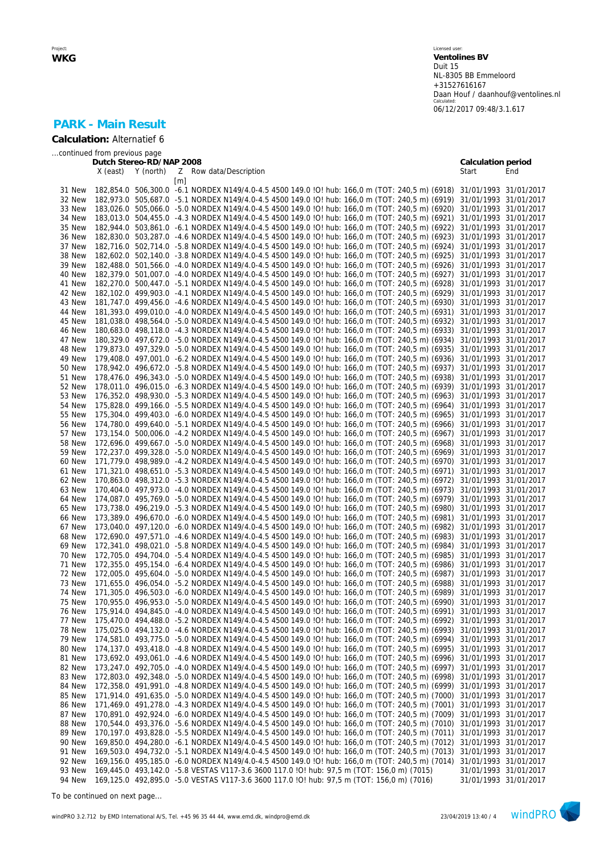|                            |                              |                          |                                                                                                                             | 00/12/2017 09:48/3.1.017 |     |
|----------------------------|------------------------------|--------------------------|-----------------------------------------------------------------------------------------------------------------------------|--------------------------|-----|
| <b>PARK - Main Result</b>  |                              |                          |                                                                                                                             |                          |     |
| Calculation: Alternatief 6 |                              |                          |                                                                                                                             |                          |     |
|                            | continued from previous page |                          |                                                                                                                             |                          |     |
|                            |                              | Dutch Stereo-RD/NAP 2008 |                                                                                                                             | Calculation period       |     |
|                            | X (east)                     | Y (north)                | Z Row data/Description<br>[m]                                                                                               | Start                    | End |
| 31 New                     |                              |                          | 182,854.0 506,300.0 -6.1 NORDEX N149/4.0-4.5 4500 149.0 !O! hub: 166,0 m (TOT: 240,5 m) (6918)                              | 31/01/1993 31/01/2017    |     |
| 32 New                     |                              |                          | 182,973.0 505,687.0 -5.1 NORDEX N149/4.0-4.5 4500 149.0 !O! hub: 166,0 m (TOT: 240,5 m) (6919)                              | 31/01/1993 31/01/2017    |     |
| 33 New                     |                              |                          | 183,026.0 505,066.0 -5.0 NORDEX N149/4.0-4.5 4500 149.0 !O! hub: 166,0 m (TOT: 240,5 m) (6920)                              | 31/01/1993 31/01/2017    |     |
| 34 New                     |                              |                          | 183,013.0 504,455.0 -4.3 NORDEX N149/4.0-4.5 4500 149.0 !O! hub: 166,0 m (TOT: 240,5 m) (6921)                              | 31/01/1993 31/01/2017    |     |
| 35 New                     |                              |                          | 182,944.0 503,861.0 -6.1 NORDEX N149/4.0-4.5 4500 149.0 !O! hub: 166,0 m (TOT: 240,5 m) (6922)                              | 31/01/1993 31/01/2017    |     |
| 36 New                     |                              |                          | 182,830.0 503,287.0 -4.6 NORDEX N149/4.0-4.5 4500 149.0 !O! hub: 166,0 m (TOT: 240,5 m) (6923)                              | 31/01/1993 31/01/2017    |     |
| 37 New                     |                              |                          | 182,716.0 502,714.0 -5.8 NORDEX N149/4.0-4.5 4500 149.0 !O! hub: 166,0 m (TOT: 240,5 m) (6924)                              | 31/01/1993 31/01/2017    |     |
| 38 New                     |                              |                          | 182,602.0 502,140.0 -3.8 NORDEX N149/4.0-4.5 4500 149.0 !O! hub: 166,0 m (TOT: 240,5 m) (6925)                              | 31/01/1993 31/01/2017    |     |
| 39 New                     |                              |                          | 182,488.0 501,566.0 -4.0 NORDEX N149/4.0-4.5 4500 149.0 !O! hub: 166,0 m (TOT: 240,5 m) (6926)                              | 31/01/1993 31/01/2017    |     |
| 40 New                     |                              |                          | 182,379.0 501,007.0 -4.0 NORDEX N149/4.0-4.5 4500 149.0 !O! hub: 166,0 m (TOT: 240,5 m) (6927)                              | 31/01/1993 31/01/2017    |     |
| 41 New                     |                              |                          | 182,270.0 500,447.0 -5.1 NORDEX N149/4.0-4.5 4500 149.0 !O! hub: 166,0 m (TOT: 240,5 m) (6928)                              | 31/01/1993 31/01/2017    |     |
| 42 New                     |                              |                          | 182,102.0 499,903.0 -4.1 NORDEX N149/4.0-4.5 4500 149.0 !O! hub: 166,0 m (TOT: 240,5 m) (6929)                              | 31/01/1993 31/01/2017    |     |
| 43 New                     |                              |                          | 181,747.0 499,456.0 -4.6 NORDEX N149/4.0-4.5 4500 149.0 !O! hub: 166,0 m (TOT: 240,5 m) (6930)                              | 31/01/1993 31/01/2017    |     |
| 44 New                     |                              |                          | 181,393.0 499,010.0 -4.0 NORDEX N149/4.0-4.5 4500 149.0 !O! hub: 166,0 m (TOT: 240,5 m) (6931)                              | 31/01/1993 31/01/2017    |     |
| 45 New                     |                              |                          | 181,038.0 498,564.0 -5.0 NORDEX N149/4.0-4.5 4500 149.0 !O! hub: 166,0 m (TOT: 240,5 m) (6932)                              | 31/01/1993 31/01/2017    |     |
| 46 New                     |                              |                          | 180,683.0 498,118.0 -4.3 NORDEX N149/4.0-4.5 4500 149.0 !O! hub: 166,0 m (TOT: 240,5 m) (6933)                              | 31/01/1993 31/01/2017    |     |
| 47 New                     |                              |                          | 180,329.0 497,672.0 -5.0 NORDEX N149/4.0-4.5 4500 149.0 !O! hub: 166,0 m (TOT: 240,5 m) (6934)                              | 31/01/1993 31/01/2017    |     |
| 48 New                     |                              |                          | 179,873.0 497,329.0 -5.0 NORDEX N149/4.0-4.5 4500 149.0 !O! hub: 166,0 m (TOT: 240,5 m) (6935)                              | 31/01/1993 31/01/2017    |     |
| 49 New                     |                              |                          | 179.408.0 497.001.0 -6.2 NORDEX N149/4.0-4.5 4500 149.0 !O! hub: 166.0 m (TOT: 240.5 m) (6936)                              | 31/01/1993 31/01/2017    |     |
| 50 New                     |                              |                          | 178,942.0 496,672.0 -5.8 NORDEX N149/4.0-4.5 4500 149.0 !O! hub: 166,0 m (TOT: 240,5 m) (6937)                              | 31/01/1993 31/01/2017    |     |
| 51 New                     |                              |                          | 178.476.0 496.343.0 -5.0 NORDEX N149/4.0-4.5 4500 149.0 !O! hub: 166.0 m (TOT: 240.5 m) (6938)                              | 31/01/1993 31/01/2017    |     |
| 52 New                     |                              |                          | 178,011.0 496,015.0 -6.3 NORDEX N149/4.0-4.5 4500 149.0 !O! hub: 166,0 m (TOT: 240,5 m) (6939)                              |                          |     |
|                            |                              |                          |                                                                                                                             | 31/01/1993 31/01/2017    |     |
| 53 New                     |                              |                          | 176,352.0 498,930.0 -5.3 NORDEX N149/4.0-4.5 4500 149.0 !O! hub: 166,0 m (TOT: 240,5 m) (6963)                              | 31/01/1993 31/01/2017    |     |
| 54 New                     |                              |                          | 175,828.0 499,166.0 -5.5 NORDEX N149/4.0-4.5 4500 149.0 ! O! hub: 166,0 m (TOT: 240,5 m) (6964)                             | 31/01/1993 31/01/2017    |     |
| 55 New                     |                              |                          | 175,304.0 499,403.0 -6.0 NORDEX N149/4.0-4.5 4500 149.0 !O! hub: 166,0 m (TOT: 240,5 m) (6965)                              | 31/01/1993 31/01/2017    |     |
| 56 New                     |                              |                          | 174,780.0 499,640.0 -5.1 NORDEX N149/4.0-4.5 4500 149.0 !O! hub: 166,0 m (TOT: 240,5 m) (6966)                              | 31/01/1993 31/01/2017    |     |
| 57 New                     |                              |                          | 173,154.0 500,006.0 -4.2 NORDEX N149/4.0-4.5 4500 149.0 !O! hub: 166,0 m (TOT: 240,5 m) (6967)                              | 31/01/1993 31/01/2017    |     |
| 58 New                     |                              |                          | 172,696.0 499,667.0 -5.0 NORDEX N149/4.0-4.5 4500 149.0 !O! hub: 166,0 m (TOT: 240,5 m) (6968)                              | 31/01/1993 31/01/2017    |     |
| 59 New                     |                              |                          | 172,237.0 499,328.0 -5.0 NORDEX N149/4.0-4.5 4500 149.0 !O! hub: 166,0 m (TOT: 240,5 m) (6969)                              | 31/01/1993 31/01/2017    |     |
| 60 New                     |                              |                          | 171,779.0 498,989.0 -4.2 NORDEX N149/4.0-4.5 4500 149.0 !O! hub: 166,0 m (TOT: 240,5 m) (6970)                              | 31/01/1993 31/01/2017    |     |
| 61 New                     |                              |                          | 171,321.0 498,651.0 -5.3 NORDEX N149/4.0-4.5 4500 149.0 !O! hub: 166,0 m (TOT: 240,5 m) (6971)                              | 31/01/1993 31/01/2017    |     |
| 62 New                     |                              |                          | 170,863.0 498,312.0 -5.3 NORDEX N149/4.0-4.5 4500 149.0 !O! hub: 166,0 m (TOT: 240,5 m) (6972)                              | 31/01/1993 31/01/2017    |     |
| 63 New                     |                              |                          | 170,404.0 497,973.0 -4.0 NORDEX N149/4.0-4.5 4500 149.0 !O! hub: 166,0 m (TOT: 240,5 m) (6973)                              | 31/01/1993 31/01/2017    |     |
| 64 New                     |                              |                          | 174,087.0 495,769.0 -5.0 NORDEX N149/4.0-4.5 4500 149.0 !O! hub: 166,0 m (TOT: 240,5 m) (6979)                              | 31/01/1993 31/01/2017    |     |
| 65 New                     |                              |                          | 173,738.0 496,219.0 -5.3 NORDEX N149/4.0-4.5 4500 149.0 !O! hub: 166,0 m (TOT: 240,5 m) (6980)                              | 31/01/1993 31/01/2017    |     |
| 66 New                     |                              |                          | 173,389.0 496,670.0 -6.0 NORDEX N149/4.0-4.5 4500 149.0 !O! hub: 166,0 m (TOT: 240,5 m) (6981)                              | 31/01/1993 31/01/2017    |     |
| 67 New                     |                              |                          | 173,040.0 497,120.0 -6.0 NORDEX N149/4.0-4.5 4500 149.0 !O! hub: 166,0 m (TOT: 240,5 m) (6982)                              | 31/01/1993 31/01/2017    |     |
| 68 New                     |                              |                          | 172,690.0 497,571.0 -4.6 NORDEX N149/4.0-4.5 4500 149.0 !O! hub: 166,0 m (TOT: 240,5 m) (6983)                              | 31/01/1993 31/01/2017    |     |
| 69 New                     |                              |                          | 172,341.0 498,021.0 -5.8 NORDEX N149/4.0-4.5 4500 149.0 ! O! hub: 166,0 m (TOT: 240,5 m) (6984)                             | 31/01/1993 31/01/2017    |     |
| 70 New                     |                              |                          | 172,705.0 494,704.0 -5.4 NORDEX N149/4.0-4.5 4500 149.0 !O! hub: 166,0 m (TOT: 240,5 m) (6985) 31/01/1993 31/01/2017        |                          |     |
|                            |                              |                          | 71 New 172,355.0 495,154.0 -6.4 NORDEX N149/4.0-4.5 4500 149.0 !O! hub: 166,0 m (TOT: 240,5 m) (6986) 31/01/1993 31/01/2017 |                          |     |
| 72 New                     |                              |                          | 172,005.0 495,604.0 -5.0 NORDEX N149/4.0-4.5 4500 149.0 !O! hub: 166,0 m (TOT: 240,5 m) (6987) 31/01/1993 31/01/2017        |                          |     |
| 73 New                     |                              |                          | 171,655.0 496,054.0 -5.2 NORDEX N149/4.0-4.5 4500 149.0 !O! hub: 166,0 m (TOT: 240,5 m) (6988) 31/01/1993 31/01/2017        |                          |     |
| 74 New                     |                              |                          | 171,305.0 496,503.0 -6.0 NORDEX N149/4.0-4.5 4500 149.0 !O! hub: 166,0 m (TOT: 240,5 m) (6989) 31/01/1993 31/01/2017        |                          |     |
| 75 New                     |                              |                          | 170,955.0 496,953.0 -5.0 NORDEX N149/4.0-4.5 4500 149.0 !O! hub: 166,0 m (TOT: 240,5 m) (6990) 31/01/1993 31/01/2017        |                          |     |
| 76 New                     |                              |                          | 175,914.0 494,845.0 -4.0 NORDEX N149/4.0-4.5 4500 149.0 !O! hub: 166,0 m (TOT: 240,5 m) (6991) 31/01/1993 31/01/2017        |                          |     |
| 77 New                     |                              |                          | 175,470.0 494,488.0 -5.2 NORDEX N149/4.0-4.5 4500 149.0 !O! hub: 166,0 m (TOT: 240,5 m) (6992) 31/01/1993 31/01/2017        |                          |     |
| 78 New                     |                              |                          | 175,025.0 494,132.0 -4.6 NORDEX N149/4.0-4.5 4500 149.0 !O! hub: 166,0 m (TOT: 240,5 m) (6993) 31/01/1993 31/01/2017        |                          |     |
|                            |                              |                          | 79 New 174,581.0 493,775.0 -5.0 NORDEX N149/4.0-4.5 4500 149.0 !O! hub: 166,0 m (TOT: 240,5 m) (6994) 31/01/1993 31/01/2017 |                          |     |

 New 174,137.0 493,418.0 -4.8 NORDEX N149/4.0-4.5 4500 149.0 !O! hub: 166,0 m (TOT: 240,5 m) (6995) 31/01/1993 31/01/2017 New 173,692.0 493,061.0 -4.6 NORDEX N149/4.0-4.5 4500 149.0 !O! hub: 166,0 m (TOT: 240,5 m) (6996) 31/01/1993 31/01/2017 New 173,247.0 492,705.0 -4.0 NORDEX N149/4.0-4.5 4500 149.0 !O! hub: 166,0 m (TOT: 240,5 m) (6997) 31/01/1993 31/01/2017 New 172,803.0 492,348.0 -5.0 NORDEX N149/4.0-4.5 4500 149.0 !O! hub: 166,0 m (TOT: 240,5 m) (6998) 31/01/1993 31/01/2017 New 172,358.0 491,991.0 -4.8 NORDEX N149/4.0-4.5 4500 149.0 !O! hub: 166,0 m (TOT: 240,5 m) (6999) 31/01/1993 31/01/2017 New 171,914.0 491,635.0 -5.0 NORDEX N149/4.0-4.5 4500 149.0 !O! hub: 166,0 m (TOT: 240,5 m) (7000) 31/01/1993 31/01/2017 New 171,469.0 491,278.0 -4.3 NORDEX N149/4.0-4.5 4500 149.0 !O! hub: 166,0 m (TOT: 240,5 m) (7001) 31/01/1993 31/01/2017 New 170,891.0 492,924.0 -6.0 NORDEX N149/4.0-4.5 4500 149.0 !O! hub: 166,0 m (TOT: 240,5 m) (7009) 31/01/1993 31/01/2017 New 170,544.0 493,376.0 -5.6 NORDEX N149/4.0-4.5 4500 149.0 !O! hub: 166,0 m (TOT: 240,5 m) (7010) 31/01/1993 31/01/2017 New 170,197.0 493,828.0 -5.5 NORDEX N149/4.0-4.5 4500 149.0 !O! hub: 166,0 m (TOT: 240,5 m) (7011) 31/01/1993 31/01/2017 New 169,850.0 494,280.0 -6.1 NORDEX N149/4.0-4.5 4500 149.0 !O! hub: 166,0 m (TOT: 240,5 m) (7012) 31/01/1993 31/01/2017 New 169,503.0 494,732.0 -5.1 NORDEX N149/4.0-4.5 4500 149.0 !O! hub: 166,0 m (TOT: 240,5 m) (7013) 31/01/1993 31/01/2017 New 169,156.0 495,185.0 -6.0 NORDEX N149/4.0-4.5 4500 149.0 !O! hub: 166,0 m (TOT: 240,5 m) (7014) 31/01/1993 31/01/2017

New 169,125.0 492,895.0 -5.0 VESTAS V117-3.6 3600 117.0 !O! hub: 97,5 m (TOT: 156,0 m) (7016) 31/01/1993 31/01/2017

*To be continued on next page...*

93 New 169,445.0 493,142.0 -5.8 VESTAS V117-3.6 3600 117.0 !O! hub: 97,5 m (TOT: 156,0 m) (7015)